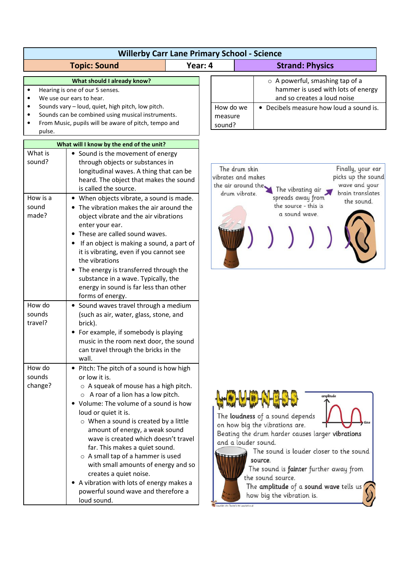|                             | <b>Willerby Carr Lane Primary School - Science</b>                                                                                                                                                                                                                                                                                                                                                                                                                                                                                                                                                 |         |                                                                                                                                                                                  |                                                                                                                                                                                                                                                                                                                                |
|-----------------------------|----------------------------------------------------------------------------------------------------------------------------------------------------------------------------------------------------------------------------------------------------------------------------------------------------------------------------------------------------------------------------------------------------------------------------------------------------------------------------------------------------------------------------------------------------------------------------------------------------|---------|----------------------------------------------------------------------------------------------------------------------------------------------------------------------------------|--------------------------------------------------------------------------------------------------------------------------------------------------------------------------------------------------------------------------------------------------------------------------------------------------------------------------------|
|                             | <b>Topic: Sound</b>                                                                                                                                                                                                                                                                                                                                                                                                                                                                                                                                                                                | Year: 4 |                                                                                                                                                                                  | <b>Strand: Physics</b>                                                                                                                                                                                                                                                                                                         |
| pulse.                      | What should I already know?<br>Hearing is one of our 5 senses.<br>We use our ears to hear.<br>Sounds vary - loud, quiet, high pitch, low pitch.<br>Sounds can be combined using musical instruments.<br>From Music, pupils will be aware of pitch, tempo and                                                                                                                                                                                                                                                                                                                                       |         | How do we<br>measure<br>sound?                                                                                                                                                   | $\circ$ A powerful, smashing tap of a<br>hammer is used with lots of energy<br>and so creates a loud noise<br>• Decibels measure how loud a sound is.                                                                                                                                                                          |
|                             |                                                                                                                                                                                                                                                                                                                                                                                                                                                                                                                                                                                                    |         |                                                                                                                                                                                  |                                                                                                                                                                                                                                                                                                                                |
| What is<br>sound?           | What will I know by the end of the unit?<br>• Sound is the movement of energy<br>through objects or substances in<br>longitudinal waves. A thing that can be<br>heard. The object that makes the sound<br>is called the source.                                                                                                                                                                                                                                                                                                                                                                    |         | The drum skin<br>Finally, your ear<br>picks up the sound<br>vibrates and makes<br>wave and your<br>the air around the.<br>The vibrating air<br>brain translates<br>drum vibrate. |                                                                                                                                                                                                                                                                                                                                |
| How is a<br>sound<br>made?  | • When objects vibrate, a sound is made.<br>• The vibration makes the air around the<br>object vibrate and the air vibrations<br>enter your ear.<br>These are called sound waves.<br>If an object is making a sound, a part of<br>it is vibrating, even if you cannot see<br>the vibrations<br>• The energy is transferred through the<br>substance in a wave. Typically, the<br>energy in sound is far less than other<br>forms of energy.                                                                                                                                                        |         |                                                                                                                                                                                  | spreads away from<br>the sound.<br>the source - this is<br>a sound wave.                                                                                                                                                                                                                                                       |
| How do<br>sounds<br>travel? | • Sound waves travel through a medium<br>(such as air, water, glass, stone, and<br>brick).<br>• For example, if somebody is playing<br>music in the room next door, the sound<br>can travel through the bricks in the<br>wall.                                                                                                                                                                                                                                                                                                                                                                     |         |                                                                                                                                                                                  |                                                                                                                                                                                                                                                                                                                                |
| How do<br>sounds<br>change? | • Pitch: The pitch of a sound is how high<br>or low it is.<br>$\circ$ A squeak of mouse has a high pitch.<br>$\circ$ A roar of a lion has a low pitch.<br>• Volume: The volume of a sound is how<br>loud or quiet it is.<br>$\circ$ When a sound is created by a little<br>amount of energy, a weak sound<br>wave is created which doesn't travel<br>far. This makes a quiet sound.<br>$\circ$ A small tap of a hammer is used<br>with small amounts of energy and so<br>creates a quiet noise.<br>• A vibration with lots of energy makes a<br>powerful sound wave and therefore a<br>loud sound. |         | and a louder sound.                                                                                                                                                              | amplitude<br>The loudness of a sound depends<br>on how big the vibrations are.<br>Beating the drum harder causes larger vibrations<br>The sound is louder closer to the sound<br>source.<br>The sound is fainter further away from<br>the sound source.<br>The amplitude of a sound wave tells us<br>how big the vibration is. |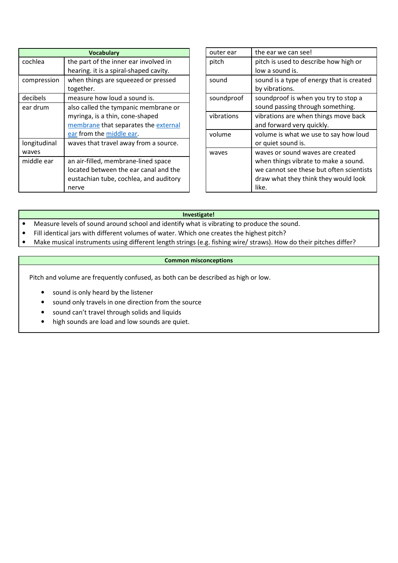| <b>Vocabulary</b> |                                        |  |  |
|-------------------|----------------------------------------|--|--|
| cochlea           | the part of the inner ear involved in  |  |  |
|                   | hearing. it is a spiral-shaped cavity. |  |  |
| compression       | when things are squeezed or pressed    |  |  |
|                   | together.                              |  |  |
| decibels          | measure how loud a sound is.           |  |  |
| ear drum          | also called the tympanic membrane or   |  |  |
|                   | myringa, is a thin, cone-shaped        |  |  |
|                   | membrane that separates the external   |  |  |
|                   | ear from the middle ear.               |  |  |
| longitudinal      | waves that travel away from a source.  |  |  |
| waves             |                                        |  |  |
| middle ear        | an air-filled, membrane-lined space    |  |  |
|                   | located between the ear canal and the  |  |  |
|                   | eustachian tube, cochlea, and auditory |  |  |
|                   | nerve                                  |  |  |

| outer ear  | the ear we can see!                       |
|------------|-------------------------------------------|
| pitch      | pitch is used to describe how high or     |
|            | low a sound is.                           |
| sound      | sound is a type of energy that is created |
|            | by vibrations.                            |
| soundproof | soundproof is when you try to stop a      |
|            | sound passing through something.          |
| vibrations | vibrations are when things move back      |
|            | and forward very quickly.                 |
| volume     | volume is what we use to say how loud     |
|            | or quiet sound is.                        |
| waves      | waves or sound waves are created          |
|            | when things vibrate to make a sound.      |
|            | we cannot see these but often scientists  |
|            | draw what they think they would look      |
|            | like.                                     |

## **Investigate!**

- Measure levels of sound around school and identify what is vibrating to produce the sound.
- Fill identical jars with different volumes of water. Which one creates the highest pitch?
- Make musical instruments using different length strings (e.g. fishing wire/ straws). How do their pitches differ?

## **Common misconceptions**

Pitch and volume are frequently confused, as both can be described as high or low.

- sound is only heard by the listener
- sound only travels in one direction from the source
- sound can't travel through solids and liquids
- high sounds are load and low sounds are quiet.